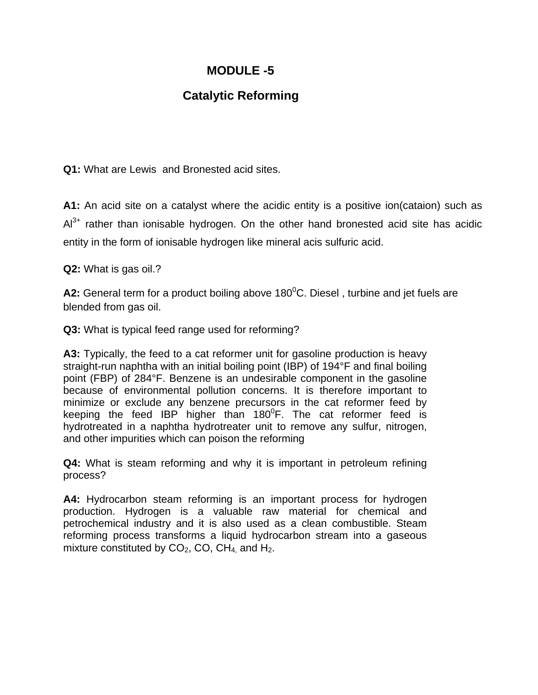## **MODULE -5**

## **Catalytic Reforming**

**Q1:** What are Lewis and Bronested acid sites.

**A1:** An acid site on a catalyst where the acidic entity is a positive ion(cataion) such as  $Al^{3+}$  rather than ionisable hydrogen. On the other hand bronested acid site has acidic entity in the form of ionisable hydrogen like mineral acis sulfuric acid.

**Q2:** What is gas oil.?

A2: General term for a product boiling above 180<sup>0</sup>C. Diesel, turbine and jet fuels are blended from gas oil.

**Q3:** What is typical feed range used for reforming?

**A3:** Typically, the feed to a cat reformer unit for gasoline production is heavy straight-run naphtha with an initial boiling point (IBP) of 194°F and final boiling point (FBP) of 284°F. Benzene is an undesirable component in the gasoline because of environmental pollution concerns. It is therefore important to minimize or exclude any benzene precursors in the cat reformer feed by keeping the feed IBP higher than 180 $^0$ F. The cat reformer feed is hydrotreated in a naphtha hydrotreater unit to remove any sulfur, nitrogen, and other impurities which can poison the reforming

**Q4:** What is steam reforming and why it is important in petroleum refining process?

**A4:** Hydrocarbon steam reforming is an important process for hydrogen production. Hydrogen is a valuable raw material for chemical and petrochemical industry and it is also used as a clean combustible. Steam reforming process transforms a liquid hydrocarbon stream into a gaseous mixture constituted by  $CO<sub>2</sub>$ , CO, CH<sub>4</sub> and H<sub>2</sub>.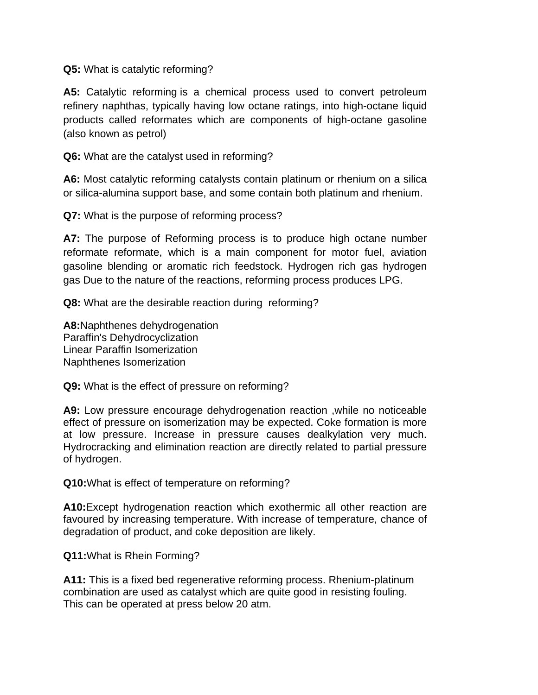**Q5:** What is catalytic reforming?

**A5:** Catalytic reforming is a chemical process used to convert petroleum refinery naphthas, typically having low octane ratings, into high-octane liquid products called reformates which are components of high-octane gasoline (also known as petrol)

**Q6:** What are the catalyst used in reforming?

**A6:** Most catalytic reforming catalysts contain platinum or rhenium on a silica or silica-alumina support base, and some contain both platinum and rhenium.

**Q7:** What is the purpose of reforming process?

**A7:** The purpose of Reforming process is to produce high octane number reformate reformate, which is a main component for motor fuel, aviation gasoline blending or aromatic rich feedstock. Hydrogen rich gas hydrogen gas Due to the nature of the reactions, reforming process produces LPG.

**Q8:** What are the desirable reaction during reforming?

**A8:**Naphthenes dehydrogenation Paraffin's Dehydrocyclization Linear Paraffin Isomerization Naphthenes Isomerization

**Q9:** What is the effect of pressure on reforming?

**A9:** Low pressure encourage dehydrogenation reaction ,while no noticeable effect of pressure on isomerization may be expected. Coke formation is more at low pressure. Increase in pressure causes dealkylation very much. Hydrocracking and elimination reaction are directly related to partial pressure of hydrogen.

**Q10:**What is effect of temperature on reforming?

**A10:**Except hydrogenation reaction which exothermic all other reaction are favoured by increasing temperature. With increase of temperature, chance of degradation of product, and coke deposition are likely.

**Q11:**What is Rhein Forming?

**A11:** This is a fixed bed regenerative reforming process. Rhenium-platinum combination are used as catalyst which are quite good in resisting fouling. This can be operated at press below 20 atm.